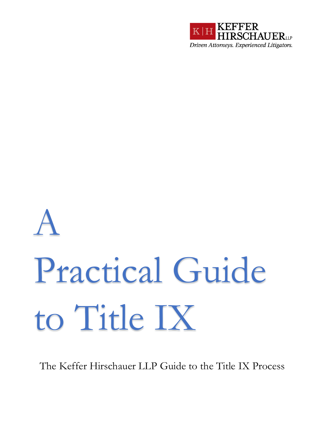

# A Practical Guide to Title IX

The Keffer Hirschauer LLP Guide to the Title IX Process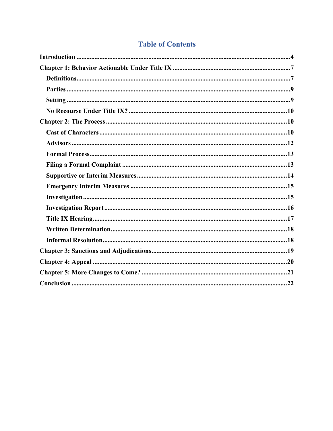### **Table of Contents**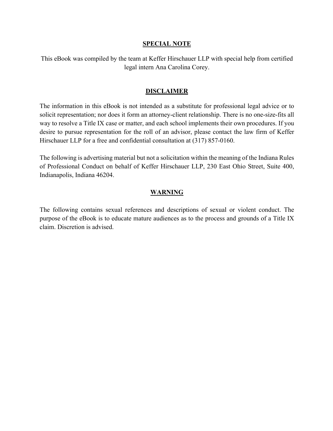#### **SPECIAL NOTE**

This eBook was compiled by the team at Keffer Hirschauer LLP with special help from certified legal intern Ana Carolina Corey.

#### **DISCLAIMER**

The information in this eBook is not intended as a substitute for professional legal advice or to solicit representation; nor does it form an attorney-client relationship. There is no one-size-fits all way to resolve a Title IX case or matter, and each school implements their own procedures. If you desire to pursue representation for the roll of an advisor, please contact the law firm of Keffer Hirschauer LLP for a free and confidential consultation at (317) 857-0160.

The following is advertising material but not a solicitation within the meaning of the Indiana Rules of Professional Conduct on behalf of Keffer Hirschauer LLP, 230 East Ohio Street, Suite 400, Indianapolis, Indiana 46204.

#### **WARNING**

The following contains sexual references and descriptions of sexual or violent conduct. The purpose of the eBook is to educate mature audiences as to the process and grounds of a Title IX claim. Discretion is advised.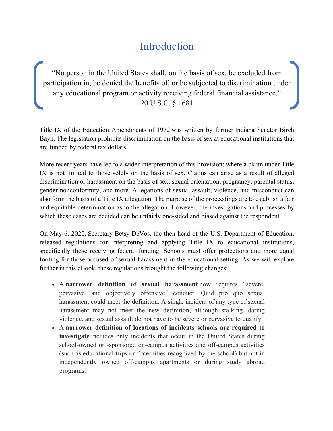## Introduction

"No person in the United States shall, on the basis of sex, be excluded from participation in, be denied the benefits of, or be subjected to discrimination under any educational program or activity receiving federal financial assistance." 20 U.S.C. § 1681

Title IX of the Education Amendments of 1972 was written by former Indiana Senator Birch Bayh. The legislation prohibits discrimination on the basis of sex at educational institutions that are funded by federal tax dollars.

More recent years have led to a wider interpretation of this provision; where a claim under Title IX is not limited to those solely on the basis of sex. Claims can arise as a result of alleged discrimination or harassment on the basis of sex, sexual orientation, pregnancy, parental status, gender nonconformity, and more. Allegations of sexual assault, violence, and misconduct can also form the basis of a Title IX allegation. The purpose of the proceedings are to establish a fair and equitable determination as to the allegation. However, the investigations and processes by which these cases are decided can be unfairly one-sided and biased against the respondent.

On May 6, 2020, Secretary Betsy DeVos, the then-head of the U.S. Department of Education, released regulations for interpreting and applying Title IX to educational institutions, specifically those receiving federal funding. Schools must offer protections and more equal footing for those accused of sexual harassment in the educational setting. As we will explore further in this eBook, these regulations brought the following changes:

- A **narrower definition of sexual harassment** now requires "severe, pervasive, and objectively offensive" conduct. Quid pro quo sexual harassment could meet the definition. A single incident of any type of sexual harassment may not meet the new definition, although stalking, dating violence, and sexual assault do not have to be severe or pervasive to qualify.
- A **narrower definition of locations of incidents schools are required to investigate** includes only incidents that occur in the United States during school-owned or -sponsored on-campus activities and off-campus activities (such as educational trips or fraternities recognized by the school) but not in independently owned off-campus apartments or during study abroad programs.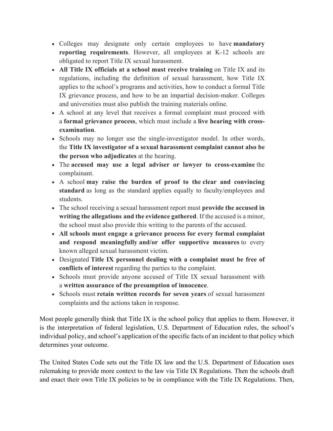- Colleges may designate only certain employees to have **mandatory reporting requirements**. However, all employees at K-12 schools are obligated to report Title IX sexual harassment.
- **All Title IX officials at a school must receive training** on Title IX and its regulations, including the definition of sexual harassment, how Title IX applies to the school's programs and activities, how to conduct a formal Title IX grievance process, and how to be an impartial decision-maker. Colleges and universities must also publish the training materials online.
- A school at any level that receives a formal complaint must proceed with a **formal grievance process**, which must include a **live hearing with crossexamination**.
- Schools may no longer use the single-investigator model. In other words, the **Title IX investigator of a sexual harassment complaint cannot also be the person who adjudicates** at the hearing.
- The **accused may use a legal adviser or lawyer to cross-examine** the complainant.
- A school **may raise the burden of proof to the clear and convincing standard** as long as the standard applies equally to faculty/employees and students.
- The school receiving a sexual harassment report must **provide the accused in writing the allegations and the evidence gathered**. If the accused is a minor, the school must also provide this writing to the parents of the accused.
- **All schools must engage a grievance process for every formal complaint and respond meaningfully and/or offer supportive measures** to every known alleged sexual harassment victim.
- Designated **Title IX personnel dealing with a complaint must be free of conflicts of interest** regarding the parties to the complaint.
- Schools must provide anyone accused of Title IX sexual harassment with a **written assurance of the presumption of innocence**.
- Schools must **retain written records for seven years** of sexual harassment complaints and the actions taken in response.

Most people generally think that Title IX is the school policy that applies to them. However, it is the interpretation of federal legislation, U.S. Department of Education rules, the school's individual policy, and school's application of the specific facts of an incident to that policy which determines your outcome.

The United States Code sets out the Title IX law and the U.S. Department of Education uses rulemaking to provide more context to the law via Title IX Regulations. Then the schools draft and enact their own Title IX policies to be in compliance with the Title IX Regulations. Then,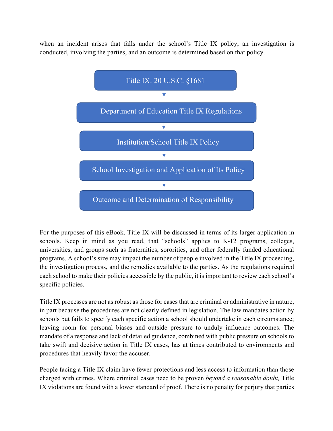when an incident arises that falls under the school's Title IX policy, an investigation is conducted, involving the parties, and an outcome is determined based on that policy.



For the purposes of this eBook, Title IX will be discussed in terms of its larger application in schools. Keep in mind as you read, that "schools" applies to K-12 programs, colleges, universities, and groups such as fraternities, sororities, and other federally funded educational programs. A school's size may impact the number of people involved in the Title IX proceeding, the investigation process, and the remedies available to the parties. As the regulations required each school to make their policies accessible by the public, it is important to review each school's specific policies.

Title IX processes are not as robust as those for cases that are criminal or administrative in nature, in part because the procedures are not clearly defined in legislation. The law mandates action by schools but fails to specify each specific action a school should undertake in each circumstance; leaving room for personal biases and outside pressure to unduly influence outcomes. The mandate of a response and lack of detailed guidance, combined with public pressure on schools to take swift and decisive action in Title IX cases, has at times contributed to environments and procedures that heavily favor the accuser.

People facing a Title IX claim have fewer protections and less access to information than those charged with crimes. Where criminal cases need to be proven *beyond a reasonable doubt,* Title IX violations are found with a lower standard of proof. There is no penalty for perjury that parties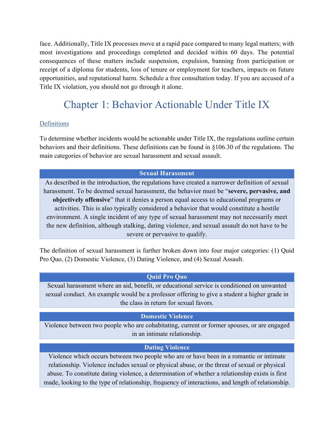face. Additionally, Title IX processes move at a rapid pace compared to many legal matters; with most investigations and proceedings completed and decided within 60 days. The potential consequences of these matters include suspension, expulsion, banning from participation or receipt of a diploma for students, loss of tenure or employment for teachers, impacts on future opportunities, and reputational harm. Schedule a free consultation today. If you are accused of a Title IX violation, you should not go through it alone.

## Chapter 1: Behavior Actionable Under Title IX

#### **Definitions**

To determine whether incidents would be actionable under Title IX, the regulations outline certain behaviors and their definitions. These definitions can be found in §106.30 of the regulations. The main categories of behavior are sexual harassment and sexual assault.

#### **Sexual Harassment**

As described in the introduction, the regulations have created a narrower definition of sexual harassment. To be deemed sexual harassment, the behavior must be "**severe, pervasive, and objectively offensive**" that it denies a person equal access to educational programs or activities. This is also typically considered a behavior that would constitute a hostile environment. A single incident of any type of sexual harassment may not necessarily meet the new definition, although stalking, dating violence, and sexual assault do not have to be severe or pervasive to qualify.

The definition of sexual harassment is further broken down into four major categories: (1) Quid Pro Quo, (2) Domestic Violence, (3) Dating Violence, and (4) Sexual Assault.

#### **Quid Pro Quo**

Sexual harassment where an aid, benefit, or educational service is conditioned on unwanted sexual conduct. An example would be a professor offering to give a student a higher grade in the class in return for sexual favors.

#### **Domestic Violence**

Violence between two people who are cohabitating, current or former spouses, or are engaged in an intimate relationship.

#### **Dating Violence**

Violence which occurs between two people who are or have been in a romantic or intimate relationship. Violence includes sexual or physical abuse, or the threat of sexual or physical abuse. To constitute dating violence, a determination of whether a relationship exists is first made, looking to the type of relationship, frequency of interactions, and length of relationship.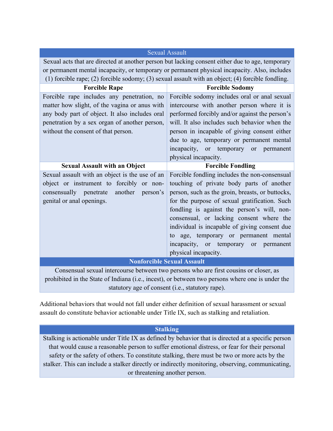| <b>Sexual Assault</b>                                                                                                                                                                                                                 |                                                                                                                                                                                                                                                                                                                                                                                                                                                                                               |  |  |
|---------------------------------------------------------------------------------------------------------------------------------------------------------------------------------------------------------------------------------------|-----------------------------------------------------------------------------------------------------------------------------------------------------------------------------------------------------------------------------------------------------------------------------------------------------------------------------------------------------------------------------------------------------------------------------------------------------------------------------------------------|--|--|
|                                                                                                                                                                                                                                       | Sexual acts that are directed at another person but lacking consent either due to age, temporary                                                                                                                                                                                                                                                                                                                                                                                              |  |  |
| or permanent mental incapacity, or temporary or permanent physical incapacity. Also, includes                                                                                                                                         |                                                                                                                                                                                                                                                                                                                                                                                                                                                                                               |  |  |
| (1) forcible rape; (2) forcible sodomy; (3) sexual assault with an object; (4) forcible fondling.                                                                                                                                     |                                                                                                                                                                                                                                                                                                                                                                                                                                                                                               |  |  |
| <b>Forcible Rape</b>                                                                                                                                                                                                                  | <b>Forcible Sodomy</b>                                                                                                                                                                                                                                                                                                                                                                                                                                                                        |  |  |
| Forcible rape includes any penetration, no<br>matter how slight, of the vagina or anus with<br>any body part of object. It also includes oral<br>penetration by a sex organ of another person,<br>without the consent of that person. | Forcible sodomy includes oral or anal sexual<br>intercourse with another person where it is<br>performed forcibly and/or against the person's<br>will. It also includes such behavior when the<br>person in incapable of giving consent either<br>due to age, temporary or permanent mental<br>incapacity,<br>or temporary or<br>permanent                                                                                                                                                    |  |  |
|                                                                                                                                                                                                                                       |                                                                                                                                                                                                                                                                                                                                                                                                                                                                                               |  |  |
|                                                                                                                                                                                                                                       | physical incapacity.                                                                                                                                                                                                                                                                                                                                                                                                                                                                          |  |  |
| <b>Sexual Assault with an Object</b><br>Sexual assault with an object is the use of an<br>object or instrument to forcibly or non-<br>another person's<br>consensually penetrate<br>genital or anal openings.                         | <b>Forcible Fondling</b><br>Forcible fondling includes the non-consensual<br>touching of private body parts of another<br>person, such as the groin, breasts, or buttocks,<br>for the purpose of sexual gratification. Such<br>fondling is against the person's will, non-<br>consensual, or lacking consent where the<br>individual is incapable of giving consent due<br>age, temporary or permanent mental<br>to<br>incapacity,<br>temporary or<br>or<br>permanent<br>physical incapacity. |  |  |
|                                                                                                                                                                                                                                       | <b>Nonforcible Sexual Assault</b>                                                                                                                                                                                                                                                                                                                                                                                                                                                             |  |  |

prohibited in the State of Indiana (i.e., incest), or between two persons where one is under the statutory age of consent (i.e., statutory rape).

Additional behaviors that would not fall under either definition of sexual harassment or sexual assault do constitute behavior actionable under Title IX, such as stalking and retaliation.

#### **Stalking**

Stalking is actionable under Title IX as defined by behavior that is directed at a specific person that would cause a reasonable person to suffer emotional distress, or fear for their personal safety or the safety of others. To constitute stalking, there must be two or more acts by the stalker. This can include a stalker directly or indirectly monitoring, observing, communicating, or threatening another person.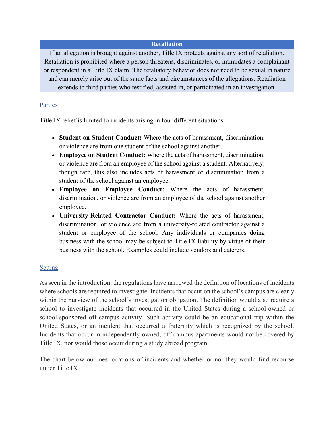#### **Retaliation**

If an allegation is brought against another, Title IX protects against any sort of retaliation. Retaliation is prohibited where a person threatens, discriminates, or intimidates a complainant or respondent in a Title IX claim. The retaliatory behavior does not need to be sexual in nature and can merely arise out of the same facts and circumstances of the allegations. Retaliation extends to third parties who testified, assisted in, or participated in an investigation.

#### Parties

Title IX relief is limited to incidents arising in four different situations:

- **Student on Student Conduct:** Where the acts of harassment, discrimination, or violence are from one student of the school against another.
- **Employee on Student Conduct:** Where the acts of harassment, discrimination, or violence are from an employee of the school against a student. Alternatively, though rare, this also includes acts of harassment or discrimination from a student of the school against an employee.
- **Employee on Employee Conduct:** Where the acts of harassment, discrimination, or violence are from an employee of the school against another employee.
- **University-Related Contractor Conduct:** Where the acts of harassment, discrimination, or violence are from a university-related contractor against a student or employee of the school. Any individuals or companies doing business with the school may be subject to Title IX liability by virtue of their business with the school. Examples could include vendors and caterers.

#### **Setting**

As seen in the introduction, the regulations have narrowed the definition of locations of incidents where schools are required to investigate. Incidents that occur on the school's campus are clearly within the purview of the school's investigation obligation. The definition would also require a school to investigate incidents that occurred in the United States during a school-owned or school-sponsored off-campus activity. Such activity could be an educational trip within the United States, or an incident that occurred a fraternity which is recognized by the school. Incidents that occur in independently owned, off-campus apartments would not be covered by Title IX, nor would those occur during a study abroad program.

The chart below outlines locations of incidents and whether or not they would find recourse under Title IX.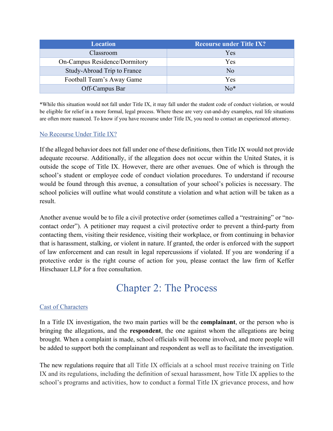| <b>Location</b>               | <b>Recourse under Title IX?</b> |
|-------------------------------|---------------------------------|
| Classroom                     | Yes                             |
| On-Campus Residence/Dormitory | Yes                             |
| Study-Abroad Trip to France   | N <sub>o</sub>                  |
| Football Team's Away Game     | Yes                             |
| Off-Campus Bar                | $No*$                           |

\*While this situation would not fall under Title IX, it may fall under the student code of conduct violation, or would be eligible for relief in a more formal, legal process. Where these are very cut-and-dry examples, real life situations are often more nuanced. To know if you have recourse under Title IX, you need to contact an experienced attorney.

#### No Recourse Under Title IX?

If the alleged behavior does not fall under one of these definitions, then Title IX would not provide adequate recourse. Additionally, if the allegation does not occur within the United States, it is outside the scope of Title IX. However, there are other avenues. One of which is through the school's student or employee code of conduct violation procedures. To understand if recourse would be found through this avenue, a consultation of your school's policies is necessary. The school policies will outline what would constitute a violation and what action will be taken as a result.

Another avenue would be to file a civil protective order (sometimes called a "restraining" or "nocontact order"). A petitioner may request a civil protective order to prevent a third-party from contacting them, visiting their residence, visiting their workplace, or from continuing in behavior that is harassment, stalking, or violent in nature. If granted, the order is enforced with the support of law enforcement and can result in legal repercussions if violated. If you are wondering if a protective order is the right course of action for you, please contact the law firm of Keffer Hirschauer LLP for a free consultation.

## Chapter 2: The Process

#### Cast of Characters

In a Title IX investigation, the two main parties will be the **complainant**, or the person who is bringing the allegations, and the **respondent**, the one against whom the allegations are being brought. When a complaint is made, school officials will become involved, and more people will be added to support both the complainant and respondent as well as to facilitate the investigation.

The new regulations require that all Title IX officials at a school must receive training on Title IX and its regulations, including the definition of sexual harassment, how Title IX applies to the school's programs and activities, how to conduct a formal Title IX grievance process, and how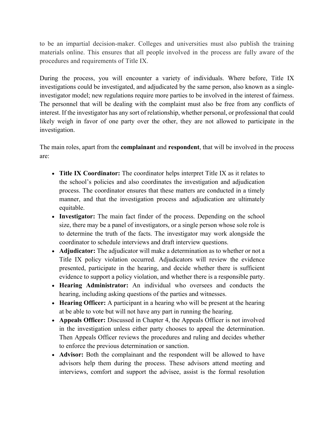to be an impartial decision-maker. Colleges and universities must also publish the training materials online. This ensures that all people involved in the process are fully aware of the procedures and requirements of Title IX.

During the process, you will encounter a variety of individuals. Where before, Title IX investigations could be investigated, and adjudicated by the same person, also known as a singleinvestigator model; new regulations require more parties to be involved in the interest of fairness. The personnel that will be dealing with the complaint must also be free from any conflicts of interest. If the investigator has any sort of relationship, whether personal, or professional that could likely weigh in favor of one party over the other, they are not allowed to participate in the investigation.

The main roles, apart from the **complainant** and **respondent**, that will be involved in the process are:

- **Title IX Coordinator:** The coordinator helps interpret Title IX as it relates to the school's policies and also coordinates the investigation and adjudication process. The coordinator ensures that these matters are conducted in a timely manner, and that the investigation process and adjudication are ultimately equitable.
- **Investigator:** The main fact finder of the process. Depending on the school size, there may be a panel of investigators, or a single person whose sole role is to determine the truth of the facts. The investigator may work alongside the coordinator to schedule interviews and draft interview questions.
- **Adjudicator:** The adjudicator will make a determination as to whether or not a Title IX policy violation occurred. Adjudicators will review the evidence presented, participate in the hearing, and decide whether there is sufficient evidence to support a policy violation, and whether there is a responsible party.
- **Hearing Administrator:** An individual who oversees and conducts the hearing, including asking questions of the parties and witnesses.
- **Hearing Officer:** A participant in a hearing who will be present at the hearing at be able to vote but will not have any part in running the hearing.
- **Appeals Officer:** Discussed in Chapter 4, the Appeals Officer is not involved in the investigation unless either party chooses to appeal the determination. Then Appeals Officer reviews the procedures and ruling and decides whether to enforce the previous determination or sanction.
- **Advisor:** Both the complainant and the respondent will be allowed to have advisors help them during the process. These advisors attend meeting and interviews, comfort and support the advisee, assist is the formal resolution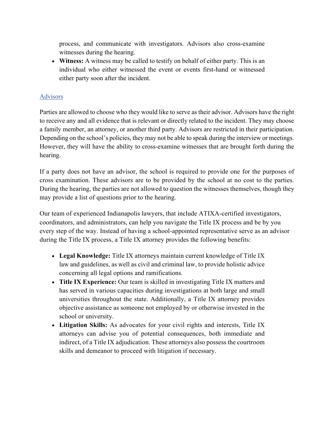process, and communicate with investigators. Advisors also cross-examine witnesses during the hearing.

• **Witness:** A witness may be called to testify on behalf of either party. This is an individual who either witnessed the event or events first-hand or witnessed either party soon after the incident.

#### Advisors

Parties are allowed to choose who they would like to serve as their advisor. Advisors have the right to receive any and all evidence that is relevant or directly related to the incident. They may choose a family member, an attorney, or another third party. Advisors are restricted in their participation. Depending on the school's policies, they may not be able to speak during the interview or meetings. However, they will have the ability to cross-examine witnesses that are brought forth during the hearing.

If a party does not have an advisor, the school is required to provide one for the purposes of cross examination. These advisors are to be provided by the school at no cost to the parties. During the hearing, the parties are not allowed to question the witnesses themselves, though they may provide a list of questions prior to the hearing.

Our team of experienced Indianapolis lawyers, that include ATIXA-certified investigators, coordinators, and administrators, can help you navigate the Title IX process and be by you every step of the way. Instead of having a school-appointed representative serve as an advisor during the Title IX process, a Title IX attorney provides the following benefits:

- **Legal Knowledge:** Title IX attorneys maintain current knowledge of Title IX law and guidelines, as well as civil and criminal law, to provide holistic advice concerning all legal options and ramifications.
- **Title IX Experience:** Our team is skilled in investigating Title IX matters and has served in various capacities during investigations at both large and small universities throughout the state. Additionally, a Title IX attorney provides objective assistance as someone not employed by or otherwise invested in the school or university.
- **Litigation Skills:** As advocates for your civil rights and interests, Title IX attorneys can advise you of potential consequences, both immediate and indirect, of a Title IX adjudication. These attorneys also possess the courtroom skills and demeanor to proceed with litigation if necessary.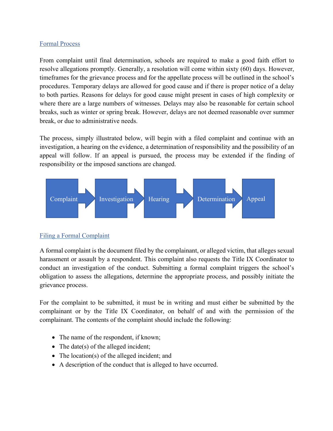#### Formal Process

From complaint until final determination, schools are required to make a good faith effort to resolve allegations promptly. Generally, a resolution will come within sixty (60) days. However, timeframes for the grievance process and for the appellate process will be outlined in the school's procedures. Temporary delays are allowed for good cause and if there is proper notice of a delay to both parties. Reasons for delays for good cause might present in cases of high complexity or where there are a large numbers of witnesses. Delays may also be reasonable for certain school breaks, such as winter or spring break. However, delays are not deemed reasonable over summer break, or due to administrative needs.

The process, simply illustrated below, will begin with a filed complaint and continue with an investigation, a hearing on the evidence, a determination of responsibility and the possibility of an appeal will follow. If an appeal is pursued, the process may be extended if the finding of responsibility or the imposed sanctions are changed.



#### Filing a Formal Complaint

A formal complaint is the document filed by the complainant, or alleged victim, that alleges sexual harassment or assault by a respondent. This complaint also requests the Title IX Coordinator to conduct an investigation of the conduct. Submitting a formal complaint triggers the school's obligation to assess the allegations, determine the appropriate process, and possibly initiate the grievance process.

For the complaint to be submitted, it must be in writing and must either be submitted by the complainant or by the Title IX Coordinator, on behalf of and with the permission of the complainant. The contents of the complaint should include the following:

- The name of the respondent, if known;
- The date(s) of the alleged incident;
- The location(s) of the alleged incident; and
- A description of the conduct that is alleged to have occurred.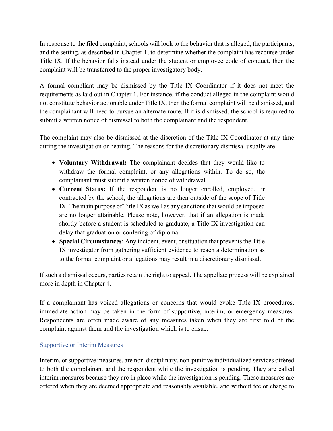In response to the filed complaint, schools will look to the behavior that is alleged, the participants, and the setting, as described in Chapter 1, to determine whether the complaint has recourse under Title IX. If the behavior falls instead under the student or employee code of conduct, then the complaint will be transferred to the proper investigatory body.

A formal compliant may be dismissed by the Title IX Coordinator if it does not meet the requirements as laid out in Chapter 1. For instance, if the conduct alleged in the complaint would not constitute behavior actionable under Title IX, then the formal complaint will be dismissed, and the complainant will need to pursue an alternate route. If it is dismissed, the school is required to submit a written notice of dismissal to both the complainant and the respondent.

The complaint may also be dismissed at the discretion of the Title IX Coordinator at any time during the investigation or hearing. The reasons for the discretionary dismissal usually are:

- **Voluntary Withdrawal:** The complainant decides that they would like to withdraw the formal complaint, or any allegations within. To do so, the complainant must submit a written notice of withdrawal.
- **Current Status:** If the respondent is no longer enrolled, employed, or contracted by the school, the allegations are then outside of the scope of Title IX. The main purpose of Title IX as well as any sanctions that would be imposed are no longer attainable. Please note, however, that if an allegation is made shortly before a student is scheduled to graduate, a Title IX investigation can delay that graduation or confering of diploma.
- **Special Circumstances:** Any incident, event, or situation that prevents the Title IX investigator from gathering sufficient evidence to reach a determination as to the formal complaint or allegations may result in a discretionary dismissal.

If such a dismissal occurs, parties retain the right to appeal. The appellate process will be explained more in depth in Chapter 4.

If a complainant has voiced allegations or concerns that would evoke Title IX procedures, immediate action may be taken in the form of supportive, interim, or emergency measures. Respondents are often made aware of any measures taken when they are first told of the complaint against them and the investigation which is to ensue.

#### Supportive or Interim Measures

Interim, or supportive measures, are non-disciplinary, non-punitive individualized services offered to both the complainant and the respondent while the investigation is pending. They are called interim measures because they are in place while the investigation is pending. These measures are offered when they are deemed appropriate and reasonably available, and without fee or charge to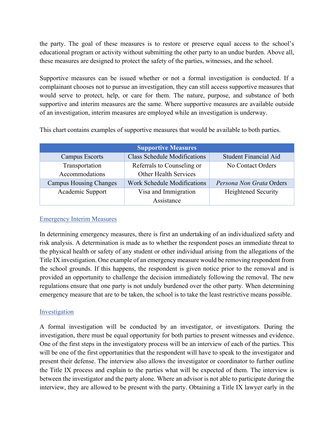the party. The goal of these measures is to restore or preserve equal access to the school's educational program or activity without submitting the other party to an undue burden. Above all, these measures are designed to protect the safety of the parties, witnesses, and the school.

Supportive measures can be issued whether or not a formal investigation is conducted. If a complainant chooses not to pursue an investigation, they can still access supportive measures that would serve to protect, help, or care for them. The nature, purpose, and substance of both supportive and interim measures are the same. Where supportive measures are available outside of an investigation, interim measures are employed while an investigation is underway.

This chart contains examples of supportive measures that would be available to both parties.

| <b>Supportive Measures</b>    |                                     |                            |  |
|-------------------------------|-------------------------------------|----------------------------|--|
| <b>Campus Escorts</b>         | <b>Class Schedule Modifications</b> | Student Financial Aid      |  |
| Transportation                | Referrals to Counseling or          | No Contact Orders          |  |
| Accommodations                | <b>Other Health Services</b>        |                            |  |
| <b>Campus Housing Changes</b> | <b>Work Schedule Modifications</b>  | Persona Non Grata Orders   |  |
| Academic Support              | Visa and Immigration                | <b>Heightened Security</b> |  |
|                               | Assistance                          |                            |  |

#### Emergency Interim Measures

In determining emergency measures, there is first an undertaking of an individualized safety and risk analysis. A determination is made as to whether the respondent poses an immediate threat to the physical health or safety of any student or other individual arising from the allegations of the Title IX investigation. One example of an emergency measure would be removing respondent from the school grounds. If this happens, the respondent is given notice prior to the removal and is provided an opportunity to challenge the decision immediately following the removal. The new regulations ensure that one party is not unduly burdened over the other party. When determining emergency measure that are to be taken, the school is to take the least restrictive means possible.

#### Investigation

A formal investigation will be conducted by an investigator, or investigators. During the investigation, there must be equal opportunity for both parties to present witnesses and evidence. One of the first steps in the investigatory process will be an interview of each of the parties. This will be one of the first opportunities that the respondent will have to speak to the investigator and present their defense. The interview also allows the investigator or coordinator to further outline the Title IX process and explain to the parties what will be expected of them. The interview is between the investigator and the party alone. Where an advisor is not able to participate during the interview, they are allowed to be present with the party. Obtaining a Title IX lawyer early in the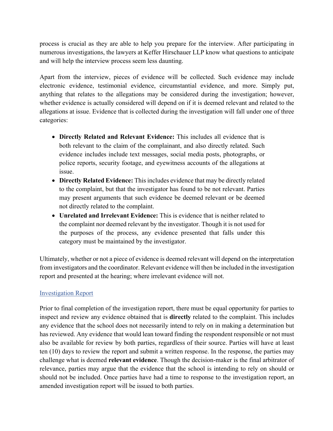process is crucial as they are able to help you prepare for the interview. After participating in numerous investigations, the lawyers at Keffer Hirschauer LLP know what questions to anticipate and will help the interview process seem less daunting.

Apart from the interview, pieces of evidence will be collected. Such evidence may include electronic evidence, testimonial evidence, circumstantial evidence, and more. Simply put, anything that relates to the allegations may be considered during the investigation; however, whether evidence is actually considered will depend on if it is deemed relevant and related to the allegations at issue. Evidence that is collected during the investigation will fall under one of three categories:

- **Directly Related and Relevant Evidence:** This includes all evidence that is both relevant to the claim of the complainant, and also directly related. Such evidence includes include text messages, social media posts, photographs, or police reports, security footage, and eyewitness accounts of the allegations at issue.
- **Directly Related Evidence:** This includes evidence that may be directly related to the complaint, but that the investigator has found to be not relevant. Parties may present arguments that such evidence be deemed relevant or be deemed not directly related to the complaint.
- **Unrelated and Irrelevant Evidence:** This is evidence that is neither related to the complaint nor deemed relevant by the investigator. Though it is not used for the purposes of the process, any evidence presented that falls under this category must be maintained by the investigator.

Ultimately, whether or not a piece of evidence is deemed relevant will depend on the interpretation from investigators and the coordinator. Relevant evidence will then be included in the investigation report and presented at the hearing; where irrelevant evidence will not.

#### Investigation Report

Prior to final completion of the investigation report, there must be equal opportunity for parties to inspect and review any evidence obtained that is **directly** related to the complaint. This includes any evidence that the school does not necessarily intend to rely on in making a determination but has reviewed. Any evidence that would lean toward finding the respondent responsible or not must also be available for review by both parties, regardless of their source. Parties will have at least ten (10) days to review the report and submit a written response. In the response, the parties may challenge what is deemed **relevant evidence**. Though the decision-maker is the final arbitrator of relevance, parties may argue that the evidence that the school is intending to rely on should or should not be included. Once parties have had a time to response to the investigation report, an amended investigation report will be issued to both parties.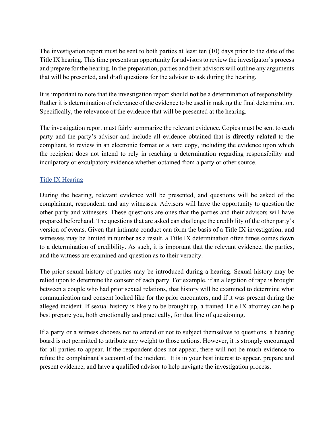The investigation report must be sent to both parties at least ten (10) days prior to the date of the Title IX hearing. This time presents an opportunity for advisors to review the investigator's process and prepare for the hearing. In the preparation, parties and their advisors will outline any arguments that will be presented, and draft questions for the advisor to ask during the hearing.

It is important to note that the investigation report should **not** be a determination of responsibility. Rather it is determination of relevance of the evidence to be used in making the final determination. Specifically, the relevance of the evidence that will be presented at the hearing.

The investigation report must fairly summarize the relevant evidence. Copies must be sent to each party and the party's advisor and include all evidence obtained that is **directly related** to the compliant, to review in an electronic format or a hard copy, including the evidence upon which the recipient does not intend to rely in reaching a determination regarding responsibility and inculpatory or exculpatory evidence whether obtained from a party or other source.

#### Title IX Hearing

During the hearing, relevant evidence will be presented, and questions will be asked of the complainant, respondent, and any witnesses. Advisors will have the opportunity to question the other party and witnesses. These questions are ones that the parties and their advisors will have prepared beforehand. The questions that are asked can challenge the credibility of the other party's version of events. Given that intimate conduct can form the basis of a Title IX investigation, and witnesses may be limited in number as a result, a Title IX determination often times comes down to a determination of credibility. As such, it is important that the relevant evidence, the parties, and the witness are examined and question as to their veracity.

The prior sexual history of parties may be introduced during a hearing. Sexual history may be relied upon to determine the consent of each party. For example, if an allegation of rape is brought between a couple who had prior sexual relations, that history will be examined to determine what communication and consent looked like for the prior encounters, and if it was present during the alleged incident. If sexual history is likely to be brought up, a trained Title IX attorney can help best prepare you, both emotionally and practically, for that line of questioning.

If a party or a witness chooses not to attend or not to subject themselves to questions, a hearing board is not permitted to attribute any weight to those actions. However, it is strongly encouraged for all parties to appear. If the respondent does not appear, there will not be much evidence to refute the complainant's account of the incident. It is in your best interest to appear, prepare and present evidence, and have a qualified advisor to help navigate the investigation process.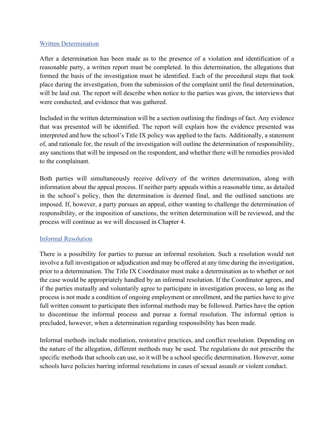#### Written Determination

After a determination has been made as to the presence of a violation and identification of a reasonable party, a written report must be completed. In this determination, the allegations that formed the basis of the investigation must be identified. Each of the procedural steps that took place during the investigation, from the submission of the complaint until the final determination, will be laid out. The report will describe when notice to the parties was given, the interviews that were conducted, and evidence that was gathered.

Included in the written determination will be a section outlining the findings of fact. Any evidence that was presented will be identified. The report will explain how the evidence presented was interpreted and how the school's Title IX policy was applied to the facts. Additionally, a statement of, and rationale for, the result of the investigation will outline the determination of responsibility, any sanctions that will be imposed on the respondent, and whether there will be remedies provided to the complainant.

Both parties will simultaneously receive delivery of the written determination, along with information about the appeal process. If neither party appeals within a reasonable time, as detailed in the school's policy, then the determination is deemed final, and the outlined sanctions are imposed. If, however, a party pursues an appeal, either wanting to challenge the determination of responsibility, or the imposition of sanctions, the written determination will be reviewed, and the process will continue as we will discussed in Chapter 4.

#### Informal Resolution

There is a possibility for parties to pursue an informal resolution. Such a resolution would not involve a full investigation or adjudication and may be offered at any time during the investigation, prior to a determination. The Title IX Coordinator must make a determination as to whether or not the case would be appropriately handled by an informal resolution. If the Coordinator agrees, and if the parties mutually and voluntarily agree to participate in investigation process, so long as the process is not made a condition of ongoing employment or enrollment, and the parties have to give full written consent to participate then informal methods may be followed. Parties have the option to discontinue the informal process and pursue a formal resolution. The informal option is precluded, however, when a determination regarding responsibility has been made.

Informal methods include mediation, restorative practices, and conflict resolution. Depending on the nature of the allegation, different methods may be used. The regulations do not prescribe the specific methods that schools can use, so it will be a school specific determination. However, some schools have policies barring informal resolutions in cases of sexual assault or violent conduct.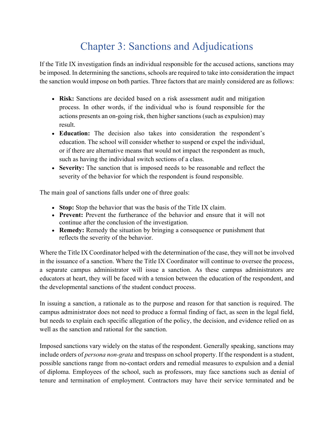## Chapter 3: Sanctions and Adjudications

If the Title IX investigation finds an individual responsible for the accused actions, sanctions may be imposed. In determining the sanctions, schools are required to take into consideration the impact the sanction would impose on both parties. Three factors that are mainly considered are as follows:

- **Risk:** Sanctions are decided based on a risk assessment audit and mitigation process. In other words, if the individual who is found responsible for the actions presents an on-going risk, then higher sanctions (such as expulsion) may result.
- **Education:** The decision also takes into consideration the respondent's education. The school will consider whether to suspend or expel the individual, or if there are alternative means that would not impact the respondent as much, such as having the individual switch sections of a class.
- **Severity:** The sanction that is imposed needs to be reasonable and reflect the severity of the behavior for which the respondent is found responsible.

The main goal of sanctions falls under one of three goals:

- **Stop:** Stop the behavior that was the basis of the Title IX claim.
- **Prevent:** Prevent the furtherance of the behavior and ensure that it will not continue after the conclusion of the investigation.
- **Remedy:** Remedy the situation by bringing a consequence or punishment that reflects the severity of the behavior.

Where the Title IX Coordinator helped with the determination of the case, they will not be involved in the issuance of a sanction. Where the Title IX Coordinator will continue to oversee the process, a separate campus administrator will issue a sanction. As these campus administrators are educators at heart, they will be faced with a tension between the education of the respondent, and the developmental sanctions of the student conduct process.

In issuing a sanction, a rationale as to the purpose and reason for that sanction is required. The campus administrator does not need to produce a formal finding of fact, as seen in the legal field, but needs to explain each specific allegation of the policy, the decision, and evidence relied on as well as the sanction and rational for the sanction.

Imposed sanctions vary widely on the status of the respondent. Generally speaking, sanctions may include orders of *persona non-grata* and trespass on school property. If the respondent is a student, possible sanctions range from no-contact orders and remedial measures to expulsion and a denial of diploma. Employees of the school, such as professors, may face sanctions such as denial of tenure and termination of employment. Contractors may have their service terminated and be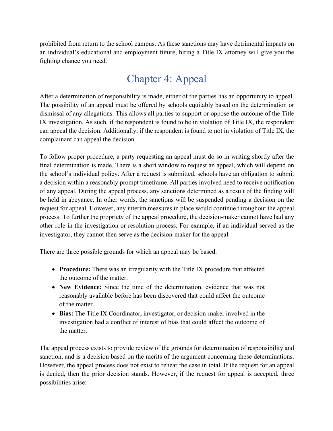prohibited from return to the school campus. As these sanctions may have detrimental impacts on an individual's educational and employment future, hiring a Title IX attorney will give you the fighting chance you need.

## Chapter 4: Appeal

After a determination of responsibility is made, either of the parties has an opportunity to appeal. The possibility of an appeal must be offered by schools equitably based on the determination or dismissal of any allegations. This allows all parties to support or oppose the outcome of the Title IX investigation. As such, if the respondent is found to be in violation of Title IX, the respondent can appeal the decision. Additionally, if the respondent is found to not in violation of Title IX, the complainant can appeal the decision.

To follow proper procedure, a party requesting an appeal must do so in writing shortly after the final determination is made. There is a short window to request an appeal, which will depend on the school's individual policy. After a request is submitted, schools have an obligation to submit a decision within a reasonably prompt timeframe. All parties involved need to receive notification of any appeal. During the appeal process, any sanctions determined as a result of the finding will be held in abeyance. In other words, the sanctions will be suspended pending a decision on the request for appeal. However, any interim measures in place would continue throughout the appeal process. To further the propriety of the appeal procedure, the decision-maker cannot have had any other role in the investigation or resolution process. For example, if an individual served as the investigator, they cannot then serve as the decision-maker for the appeal.

There are three possible grounds for which an appeal may be based:

- **Procedure:** There was an irregularity with the Title IX procedure that affected the outcome of the matter.
- **New Evidence:** Since the time of the determination, evidence that was not reasonably available before has been discovered that could affect the outcome of the matter.
- **Bias:** The Title IX Coordinator, investigator, or decision-maker involved in the investigation had a conflict of interest of bias that could affect the outcome of the matter.

The appeal process exists to provide review of the grounds for determination of responsibility and sanction, and is a decision based on the merits of the argument concerning these determinations. However, the appeal process does not exist to rehear the case in total. If the request for an appeal is denied, then the prior decision stands. However, if the request for appeal is accepted, three possibilities arise: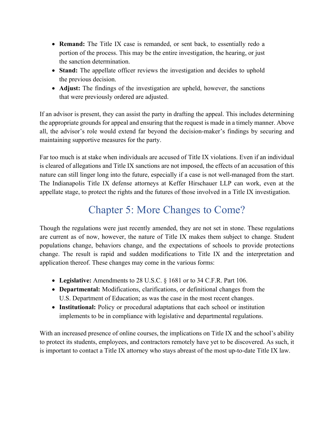- **Remand:** The Title IX case is remanded, or sent back, to essentially redo a portion of the process. This may be the entire investigation, the hearing, or just the sanction determination.
- **Stand:** The appellate officer reviews the investigation and decides to uphold the previous decision.
- **Adjust:** The findings of the investigation are upheld, however, the sanctions that were previously ordered are adjusted.

If an advisor is present, they can assist the party in drafting the appeal. This includes determining the appropriate grounds for appeal and ensuring that the request is made in a timely manner. Above all, the advisor's role would extend far beyond the decision-maker's findings by securing and maintaining supportive measures for the party.

Far too much is at stake when individuals are accused of Title IX violations. Even if an individual is cleared of allegations and Title IX sanctions are not imposed, the effects of an accusation of this nature can still linger long into the future, especially if a case is not well-managed from the start. The Indianapolis Title IX defense attorneys at Keffer Hirschauer LLP can work, even at the appellate stage, to protect the rights and the futures of those involved in a Title IX investigation.

## Chapter 5: More Changes to Come?

Though the regulations were just recently amended, they are not set in stone. These regulations are current as of now, however, the nature of Title IX makes them subject to change. Student populations change, behaviors change, and the expectations of schools to provide protections change. The result is rapid and sudden modifications to Title IX and the interpretation and application thereof. These changes may come in the various forms:

- **Legislative:** Amendments to 28 U.S.C. § 1681 or to 34 C.F.R. Part 106.
- **Departmental:** Modifications, clarifications, or definitional changes from the U.S. Department of Education; as was the case in the most recent changes.
- **Institutional:** Policy or procedural adaptations that each school or institution implements to be in compliance with legislative and departmental regulations.

With an increased presence of online courses, the implications on Title IX and the school's ability to protect its students, employees, and contractors remotely have yet to be discovered. As such, it is important to contact a Title IX attorney who stays abreast of the most up-to-date Title IX law.